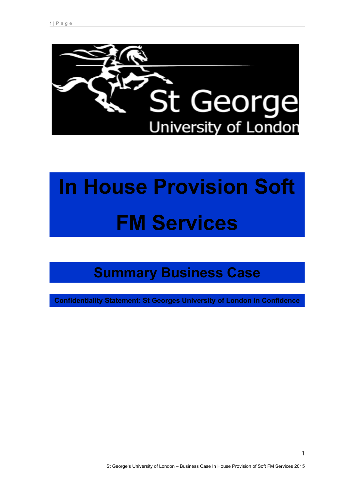

# **In House Provision Soft FM Services**

# **Summary Business Case**

**Confidentiality Statement: St Georges University of London in Confidence** 

1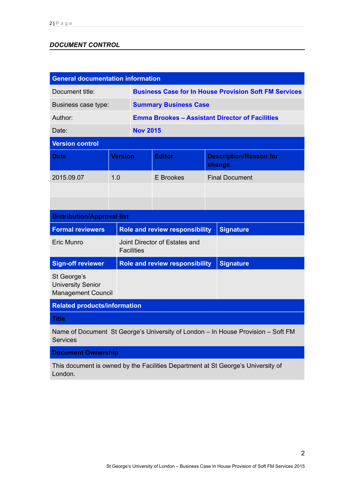# *DOCUMENT CONTROL*

| <b>General documentation information</b>                                                            |                   |                                       |                                                              |                                         |                       |  |
|-----------------------------------------------------------------------------------------------------|-------------------|---------------------------------------|--------------------------------------------------------------|-----------------------------------------|-----------------------|--|
| Document title:                                                                                     |                   |                                       | <b>Business Case for In House Provision Soft FM Services</b> |                                         |                       |  |
| Business case type:                                                                                 |                   |                                       | <b>Summary Business Case</b>                                 |                                         |                       |  |
| Author:                                                                                             |                   |                                       | <b>Emma Brookes - Assistant Director of Facilities</b>       |                                         |                       |  |
| Date:                                                                                               |                   |                                       | <b>Nov 2015</b>                                              |                                         |                       |  |
| <b>Version control</b>                                                                              |                   |                                       |                                                              |                                         |                       |  |
| <b>Date</b>                                                                                         |                   | <b>Version</b>                        | <b>Editor</b>                                                | <b>Description/Reason for</b><br>change |                       |  |
| 2015.09.07                                                                                          | 1.0               |                                       | <b>E</b> Brookes                                             |                                         | <b>Final Document</b> |  |
|                                                                                                     |                   |                                       |                                                              |                                         |                       |  |
|                                                                                                     |                   |                                       |                                                              |                                         |                       |  |
| <b>Distribution/Approval list</b>                                                                   |                   |                                       |                                                              |                                         |                       |  |
| <b>Formal reviewers</b>                                                                             |                   |                                       | <b>Role and review responsibility</b>                        |                                         | <b>Signature</b>      |  |
| <b>Eric Munro</b>                                                                                   | <b>Facilities</b> |                                       | Joint Director of Estates and                                |                                         |                       |  |
| <b>Sign-off reviewer</b>                                                                            |                   | <b>Role and review responsibility</b> |                                                              |                                         | <b>Signature</b>      |  |
| St George's<br><b>University Senior</b><br><b>Management Council</b>                                |                   |                                       |                                                              |                                         |                       |  |
| <b>Related products/information</b>                                                                 |                   |                                       |                                                              |                                         |                       |  |
| <b>Title</b>                                                                                        |                   |                                       |                                                              |                                         |                       |  |
| Name of Document St George's University of London - In House Provision - Soft FM<br><b>Services</b> |                   |                                       |                                                              |                                         |                       |  |

**Document Ownership**

This document is owned by the Facilities Department at St George's University of London.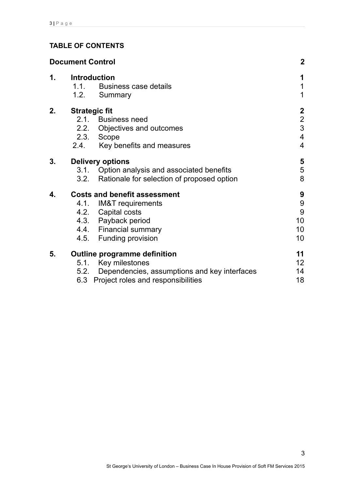# **TABLE OF CONTENTS**

|    | <b>Document Control</b>             |                                                                                                                                                                | $\mathbf{2}$                                               |
|----|-------------------------------------|----------------------------------------------------------------------------------------------------------------------------------------------------------------|------------------------------------------------------------|
| 1. | <b>Introduction</b><br>1.1.<br>1.2. | Business case details<br>Summary                                                                                                                               | 1<br>1<br>$\mathbf 1$                                      |
| 2. | <b>Strategic fit</b><br>2.4.        | 2.1. Business need<br>2.2. Objectives and outcomes<br>2.3. Scope<br>Key benefits and measures                                                                  | $\mathbf{2}$<br>$\overline{2}$<br>3<br>$\overline{4}$<br>4 |
| 3. | 3.2.                                | <b>Delivery options</b><br>3.1. Option analysis and associated benefits<br>Rationale for selection of proposed option                                          | 5<br>5<br>8                                                |
| 4. |                                     | <b>Costs and benefit assessment</b><br>4.1. IM&T requirements<br>4.2. Capital costs<br>4.3. Payback period<br>4.4. Financial summary<br>4.5. Funding provision | 9<br>$\boldsymbol{9}$<br>9<br>10<br>10<br>10 <sup>°</sup>  |
| 5. | 5.1.<br>5.2.<br>6.3                 | <b>Outline programme definition</b><br>Key milestones<br>Dependencies, assumptions and key interfaces<br>Project roles and responsibilities                    | 11<br>12 <sub>2</sub><br>14<br>18                          |

3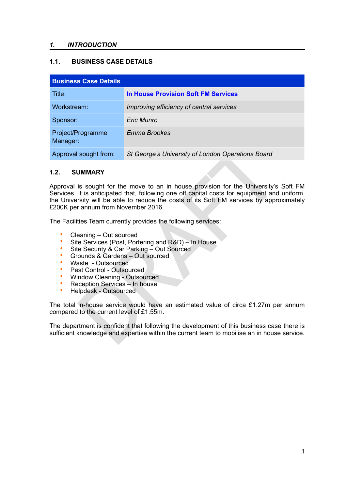#### *1. INTRODUCTION*

# **1.1. BUSINESS CASE DETAILS**

| <b>Business Case Details</b>  |                                                   |  |  |
|-------------------------------|---------------------------------------------------|--|--|
| Title:                        | <b>In House Provision Soft FM Services</b>        |  |  |
| Workstream:                   | Improving efficiency of central services          |  |  |
| Sponsor:                      | Eric Munro                                        |  |  |
| Project/Programme<br>Manager: | Emma Brookes                                      |  |  |
| Approval sought from:         | St George's University of London Operations Board |  |  |

#### **1.2. SUMMARY**

St George's University of London Operations Board<br>
UMMARY<br>
IS sought for the move to an in house provision for the University's<br>
it is anticipated that, following one of capital costs for equipment and<br>
It is anticipated t Approval is sought for the move to an in house provision for the University's Soft FM Services. It is anticipated that, following one off capital costs for equipment and uniform, the University will be able to reduce the costs of its Soft FM services by approximately £200K per annum from November 2016.

The Facilities Team currently provides the following services:

- Cleaning Out sourced
- Site Services (Post, Portering and R&D) In House
- Site Security & Car Parking Out Sourced
- Grounds & Gardens Out sourced
- Waste Outsourced
- Pest Control Outsourced
- Window Cleaning Outsourced<br>• Peception Services In house
- Reception Services In house
- Helpdesk Outsourced

The total in-house service would have an estimated value of circa £1.27m per annum compared to the current level of £1.55m.

The department is confident that following the development of this business case there is sufficient knowledge and expertise within the current team to mobilise an in house service.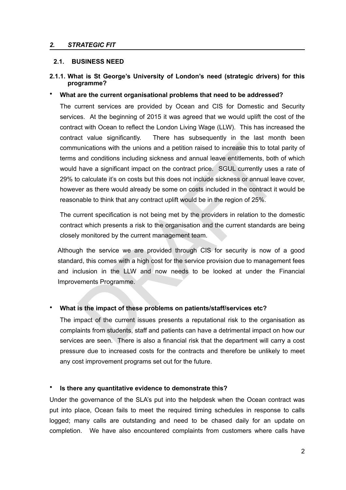#### *2. STRATEGIC FIT*

#### **2.1. BUSINESS NEED**

#### **2.1.1. What is St George's University of London's need (strategic drivers) for this programme?**

#### • **What are the current organisational problems that need to be addressed?**

unications with the unions and a petition raised to increase this to total<br>and conditions including sickness and annual leave entitlements, both<br>have a significant impact on the contract price. SGUL currently uses<br>o calcul The current services are provided by Ocean and CIS for Domestic and Security services. At the beginning of 2015 it was agreed that we would uplift the cost of the contract with Ocean to reflect the London Living Wage (LLW). This has increased the contract value significantly. There has subsequently in the last month been communications with the unions and a petition raised to increase this to total parity of terms and conditions including sickness and annual leave entitlements, both of which would have a significant impact on the contract price. SGUL currently uses a rate of 29% to calculate it's on costs but this does not include sickness or annual leave cover, however as there would already be some on costs included in the contract it would be reasonable to think that any contract uplift would be in the region of 25%.

The current specification is not being met by the providers in relation to the domestic contract which presents a risk to the organisation and the current standards are being closely monitored by the current management team.

Although the service we are provided through CIS for security is now of a good standard, this comes with a high cost for the service provision due to management fees and inclusion in the LLW and now needs to be looked at under the Financial Improvements Programme.

#### • **What is the impact of these problems on patients/staff/services etc?**

The impact of the current issues presents a reputational risk to the organisation as complaints from students, staff and patients can have a detrimental impact on how our services are seen. There is also a financial risk that the department will carry a cost pressure due to increased costs for the contracts and therefore be unlikely to meet any cost improvement programs set out for the future.

#### • **Is there any quantitative evidence to demonstrate this?**

Under the governance of the SLA's put into the helpdesk when the Ocean contract was put into place, Ocean fails to meet the required timing schedules in response to calls logged; many calls are outstanding and need to be chased daily for an update on completion. We have also encountered complaints from customers where calls have<br>2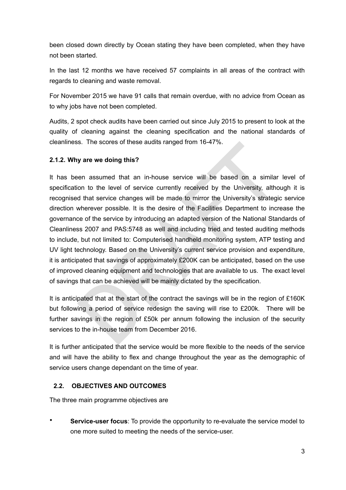been closed down directly by Ocean stating they have been completed, when they have not been started.

In the last 12 months we have received 57 complaints in all areas of the contract with regards to cleaning and waste removal.

For November 2015 we have 91 calls that remain overdue, with no advice from Ocean as to why jobs have not been completed.

Audits, 2 spot check audits have been carried out since July 2015 to present to look at the quality of cleaning against the cleaning specification and the national standards of cleanliness. The scores of these audits ranged from 16-47%.

# **2.1.2. Why are we doing this?**

is. The scores of these audits ranged from 16-47%.<br>
Solve are we doing this?<br>
Solve are assumed that an in-house service will be based on a similar<br>
did that service changes will be made to mirror the University's strateg It has been assumed that an in-house service will be based on a similar level of specification to the level of service currently received by the University, although it is recognised that service changes will be made to mirror the University's strategic service direction wherever possible. It is the desire of the Facilities Department to increase the governance of the service by introducing an adapted version of the National Standards of Cleanliness 2007 and PAS:5748 as well and including tried and tested auditing methods to include, but not limited to: Computerised handheld monitoring system, ATP testing and UV light technology. Based on the University's current service provision and expenditure, it is anticipated that savings of approximately £200K can be anticipated, based on the use of improved cleaning equipment and technologies that are available to us. The exact level of savings that can be achieved will be mainly dictated by the specification.

It is anticipated that at the start of the contract the savings will be in the region of £160K but following a period of service redesign the saving will rise to £200k. There will be further savings in the region of £50k per annum following the inclusion of the security services to the in-house team from December 2016.

It is further anticipated that the service would be more flexible to the needs of the service and will have the ability to flex and change throughout the year as the demographic of service users change dependant on the time of year.

# **2.2. OBJECTIVES AND OUTCOMES**

The three main programme objectives are

**Service-user focus**: To provide the opportunity to re-evaluate the service model to one more suited to meeting the needs of the service-user.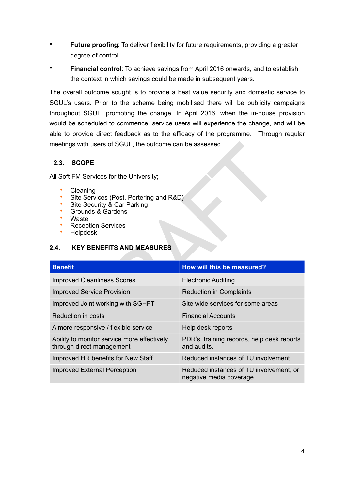- **Future proofing**: To deliver flexibility for future requirements, providing a greater degree of control.
- **Financial control**: To achieve savings from April 2016 onwards, and to establish the context in which savings could be made in subsequent years.

The overall outcome sought is to provide a best value security and domestic service to SGUL's users. Prior to the scheme being mobilised there will be publicity campaigns throughout SGUL, promoting the change. In April 2016, when the in-house provision would be scheduled to commence, service users will experience the change, and will be able to provide direct feedback as to the efficacy of the programme. Through regular meetings with users of SGUL, the outcome can be assessed.

# **2.3. SCOPE**

- Cleaning
- Site Services (Post, Portering and R&D)
- Site Security & Car Parking
- Grounds & Gardens
- Waste
- Reception Services
- Helpdesk

# **2.4. KEY BENEFITS AND MEASURES**

| meetings with users of SGUL, the outcome can be assessed.                                                                                                      |                                                                          |                                                           |  |  |
|----------------------------------------------------------------------------------------------------------------------------------------------------------------|--------------------------------------------------------------------------|-----------------------------------------------------------|--|--|
| 2.3.                                                                                                                                                           | <b>SCOPE</b>                                                             |                                                           |  |  |
|                                                                                                                                                                | All Soft FM Services for the University;                                 |                                                           |  |  |
| Cleaning<br>Site Services (Post, Portering and R&D)<br>Site Security & Car Parking<br>Grounds & Gardens<br>Waste<br>۰<br><b>Reception Services</b><br>Helpdesk |                                                                          |                                                           |  |  |
| <b>KEY BENEFITS AND MEASURES</b><br>2.4.                                                                                                                       |                                                                          |                                                           |  |  |
|                                                                                                                                                                |                                                                          |                                                           |  |  |
| <b>Benefit</b>                                                                                                                                                 |                                                                          | How will this be measured?                                |  |  |
|                                                                                                                                                                | <b>Improved Cleanliness Scores</b>                                       | <b>Electronic Auditing</b>                                |  |  |
|                                                                                                                                                                | <b>Improved Service Provision</b>                                        | <b>Reduction in Complaints</b>                            |  |  |
|                                                                                                                                                                | Improved Joint working with SGHFT                                        | Site wide services for some areas                         |  |  |
|                                                                                                                                                                | <b>Reduction in costs</b>                                                | <b>Financial Accounts</b>                                 |  |  |
|                                                                                                                                                                | A more responsive / flexible service                                     | Help desk reports                                         |  |  |
|                                                                                                                                                                | Ability to monitor service more effectively<br>through direct management | PDR's, training records, help desk reports<br>and audits. |  |  |
|                                                                                                                                                                | Improved HR benefits for New Staff                                       | Reduced instances of TU involvement                       |  |  |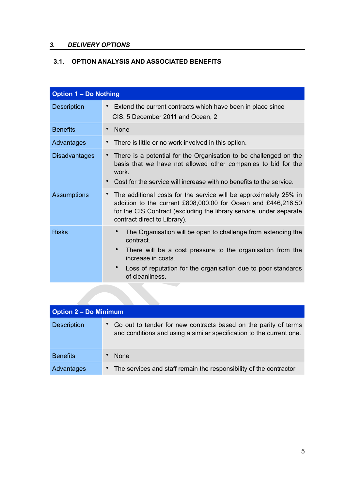# *3. DELIVERY OPTIONS*

# **3.1. OPTION ANALYSIS AND ASSOCIATED BENEFITS**

| <b>Option 1 - Do Nothing</b> |                                                                                                                                                                                                                                                    |
|------------------------------|----------------------------------------------------------------------------------------------------------------------------------------------------------------------------------------------------------------------------------------------------|
| Description                  | Extend the current contracts which have been in place since<br>$\bullet$<br>CIS, 5 December 2011 and Ocean, 2                                                                                                                                      |
| <b>Benefits</b>              | <b>None</b><br>$\bullet$                                                                                                                                                                                                                           |
| Advantages                   | There is little or no work involved in this option.                                                                                                                                                                                                |
| <b>Disadvantages</b>         | There is a potential for the Organisation to be challenged on the<br>basis that we have not allowed other companies to bid for the<br>work.<br>Cost for the service will increase with no benefits to the service.<br>$\bullet$                    |
| <b>Assumptions</b>           | The additional costs for the service will be approximately 25% in<br>addition to the current £808,000.00 for Ocean and £446,216.50<br>for the CIS Contract (excluding the library service, under separate<br>contract direct to Library).          |
| <b>Risks</b>                 | The Organisation will be open to challenge from extending the<br>contract.<br>There will be a cost pressure to the organisation from the<br>increase in costs.<br>Loss of reputation for the organisation due to poor standards<br>of cleanliness. |
|                              |                                                                                                                                                                                                                                                    |
| <b>Option 2 - Do Minimum</b> |                                                                                                                                                                                                                                                    |
| Description                  | Go out to tender for new contracts based on the parity of terms<br>and conditions and using a similar specification to the current one.                                                                                                            |

| <b>Option 2 - Do Minimum</b> |                                                                                                                                         |  |  |
|------------------------------|-----------------------------------------------------------------------------------------------------------------------------------------|--|--|
| <b>Description</b>           | Go out to tender for new contracts based on the parity of terms<br>and conditions and using a similar specification to the current one. |  |  |
| <b>Benefits</b>              | <b>None</b>                                                                                                                             |  |  |
| Advantages                   | The services and staff remain the responsibility of the contractor<br>$\bullet$                                                         |  |  |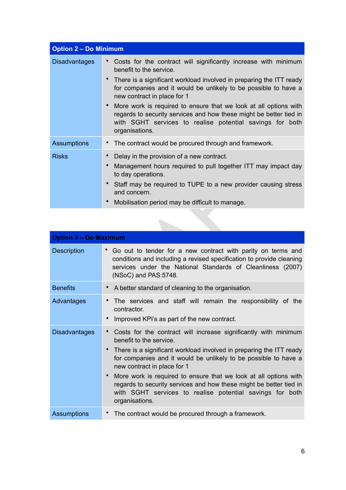| <b>Option 2 - Do Minimum</b> |                                                                                                                                                                                                                                                                                                                                                                                                                                                                                             |  |  |
|------------------------------|---------------------------------------------------------------------------------------------------------------------------------------------------------------------------------------------------------------------------------------------------------------------------------------------------------------------------------------------------------------------------------------------------------------------------------------------------------------------------------------------|--|--|
| <b>Disadvantages</b>         | Costs for the contract will significantly increase with minimum<br>benefit to the service.<br>There is a significant workload involved in preparing the ITT ready<br>for companies and it would be unlikely to be possible to have a<br>new contract in place for 1<br>More work is required to ensure that we look at all options with<br>regards to security services and how these might be better tied in<br>with SGHT services to realise potential savings for both<br>organisations. |  |  |
| <b>Assumptions</b>           | • The contract would be procured through and framework.                                                                                                                                                                                                                                                                                                                                                                                                                                     |  |  |
| <b>Risks</b>                 | Delay in the provision of a new contract.<br>Management hours required to pull together ITT may impact day<br>to day operations.<br>Staff may be required to TUPE to a new provider causing stress<br>and concern.<br>Mobilisation period may be difficult to manage.                                                                                                                                                                                                                       |  |  |

| Assumptions                  | The contract would be procured through and framework.                                                                                                                                                                                                                                                                                                                                                                                                                                       |  |  |  |  |
|------------------------------|---------------------------------------------------------------------------------------------------------------------------------------------------------------------------------------------------------------------------------------------------------------------------------------------------------------------------------------------------------------------------------------------------------------------------------------------------------------------------------------------|--|--|--|--|
| <b>Risks</b>                 | Delay in the provision of a new contract.<br>Management hours required to pull together ITT may impact day<br>to day operations.<br>Staff may be required to TUPE to a new provider causing stress<br>and concern.<br>Mobilisation period may be difficult to manage.                                                                                                                                                                                                                       |  |  |  |  |
|                              |                                                                                                                                                                                                                                                                                                                                                                                                                                                                                             |  |  |  |  |
| <b>Option 3 - Do Maximum</b> |                                                                                                                                                                                                                                                                                                                                                                                                                                                                                             |  |  |  |  |
| Description                  | Go out to tender for a new contract with parity on terms and<br>conditions and including a revised specification to provide cleaning<br>services under the National Standards of Cleanliness (2007)<br>(NSoC) and PAS:5748.                                                                                                                                                                                                                                                                 |  |  |  |  |
| <b>Benefits</b>              | A better standard of cleaning to the organisation.                                                                                                                                                                                                                                                                                                                                                                                                                                          |  |  |  |  |
| Advantages                   | The services and staff will remain the responsibility of the<br>$\bullet$<br>contractor.<br>Improved KPI's as part of the new contract.                                                                                                                                                                                                                                                                                                                                                     |  |  |  |  |
| <b>Disadvantages</b>         | Costs for the contract will increase significantly with minimum<br>benefit to the service.<br>There is a significant workload involved in preparing the ITT ready<br>for companies and it would be unlikely to be possible to have a<br>new contract in place for 1<br>More work is required to ensure that we look at all options with<br>regards to security services and how these might be better tied in<br>with SGHT services to realise potential savings for both<br>organisations. |  |  |  |  |
| <b>Assumptions</b>           | The contract would be procured through a framework.<br>$\bullet$                                                                                                                                                                                                                                                                                                                                                                                                                            |  |  |  |  |
|                              |                                                                                                                                                                                                                                                                                                                                                                                                                                                                                             |  |  |  |  |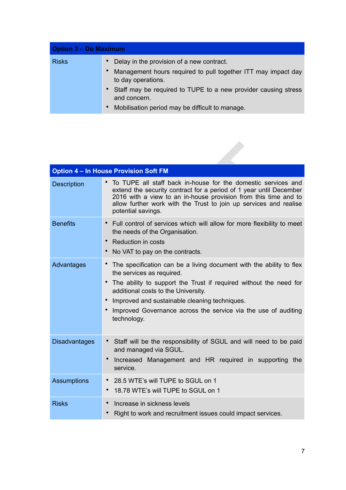| <b>Option 3 – Do Maximum</b> |                                                                                                                                                                                                                                                                         |  |  |
|------------------------------|-------------------------------------------------------------------------------------------------------------------------------------------------------------------------------------------------------------------------------------------------------------------------|--|--|
| <b>Risks</b>                 | Delay in the provision of a new contract.<br>Management hours required to pull together ITT may impact day<br>to day operations.<br>• Staff may be required to TUPE to a new provider causing stress<br>and concern.<br>Mobilisation period may be difficult to manage. |  |  |

|                      | <b>Option 4 - In House Provision Soft FM</b>                                                                                                                                                                                                                                                                                                                             |
|----------------------|--------------------------------------------------------------------------------------------------------------------------------------------------------------------------------------------------------------------------------------------------------------------------------------------------------------------------------------------------------------------------|
| <b>Description</b>   | • To TUPE all staff back in-house for the domestic services and<br>extend the security contract for a period of 1 year until December<br>2016 with a view to an in-house provision from this time and to<br>allow further work with the Trust to join up services and realise<br>potential savings.                                                                      |
| <b>Benefits</b>      | Full control of services which will allow for more flexibility to meet<br>the needs of the Organisation.<br>Reduction in costs<br>$\bullet$<br>No VAT to pay on the contracts.<br>$\bullet$                                                                                                                                                                              |
| Advantages           | The specification can be a living document with the ability to flex<br>the services as required.<br>The ability to support the Trust if required without the need for<br>$\bullet$<br>additional costs to the University.<br>Improved and sustainable cleaning techniques.<br>$\bullet$<br>Improved Governance across the service via the use of auditing<br>technology. |
| <b>Disadvantages</b> | • Staff will be the responsibility of SGUL and will need to be paid<br>and managed via SGUL.<br>Increased Management and HR required in supporting the<br>service.                                                                                                                                                                                                       |
| <b>Assumptions</b>   | * 28.5 WTE's will TUPE to SGUL on 1<br>18.78 WTE's will TUPE to SGUL on 1<br>$\bullet$                                                                                                                                                                                                                                                                                   |
| <b>Risks</b>         | Increase in sickness levels<br>$\bullet$<br>Right to work and recruitment issues could impact services.                                                                                                                                                                                                                                                                  |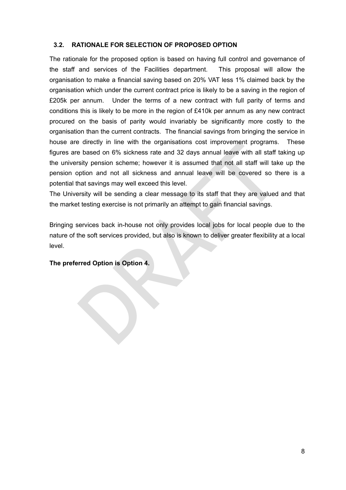#### **3.2. RATIONALE FOR SELECTION OF PROPOSED OPTION**

alized on 6% sickness rate and 32 days annual leave with all staff tasted on 6% sickness rate and 32 days annual leave with all staff tastify pension scheme; however it is assumed that not all staff will take potion and no The rationale for the proposed option is based on having full control and governance of the staff and services of the Facilities department. This proposal will allow the organisation to make a financial saving based on 20% VAT less 1% claimed back by the organisation which under the current contract price is likely to be a saving in the region of £205k per annum. Under the terms of a new contract with full parity of terms and conditions this is likely to be more in the region of £410k per annum as any new contract procured on the basis of parity would invariably be significantly more costly to the organisation than the current contracts. The financial savings from bringing the service in house are directly in line with the organisations cost improvement programs. These figures are based on 6% sickness rate and 32 days annual leave with all staff taking up the university pension scheme; however it is assumed that not all staff will take up the pension option and not all sickness and annual leave will be covered so there is a potential that savings may well exceed this level.

The University will be sending a clear message to its staff that they are valued and that the market testing exercise is not primarily an attempt to gain financial savings.

Bringing services back in-house not only provides local jobs for local people due to the nature of the soft services provided, but also is known to deliver greater flexibility at a local level.

#### **The preferred Option is Option 4.**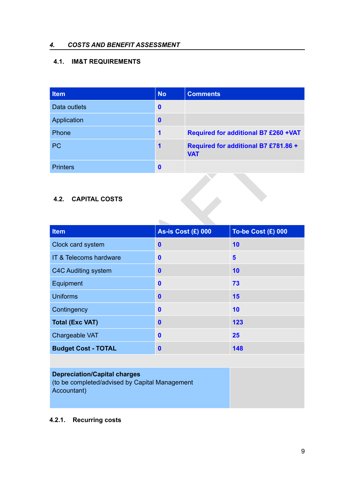# *4. COSTS AND BENEFIT ASSESSMENT*

# **4.1. IM&T REQUIREMENTS**

| <b>Item</b>     | <b>No</b>        | <b>Comments</b>                                    |
|-----------------|------------------|----------------------------------------------------|
| Data outlets    | $\mathbf{0}$     |                                                    |
| Application     | $\mathbf 0$      |                                                    |
| Phone           | 1                | <b>Required for additional B7 £260 +VAT</b>        |
| <b>PC</b>       | 1                | Required for additional B7 £781.86 +<br><b>VAT</b> |
| <b>Printers</b> | $\boldsymbol{0}$ |                                                    |

# **4.2. CAPITAL COSTS**

| <b>PC</b>                    | 1                         | <b>VAT</b> | Required for additional B7 £781.86 + |
|------------------------------|---------------------------|------------|--------------------------------------|
| <b>Printers</b>              | $\mathbf 0$               |            |                                      |
| <b>CAPITAL COSTS</b><br>4.2. |                           |            |                                      |
| <b>Item</b>                  | <b>As-is Cost (£) 000</b> |            | <b>To-be Cost (£) 000</b>            |
| Clock card system            | $\mathbf 0$               |            | 10                                   |
| IT & Telecoms hardware       | $\mathbf 0$               |            | $5\phantom{1}$                       |
| <b>C4C Auditing system</b>   | $\mathbf 0$               |            | 10                                   |
| Equipment                    | $\mathbf{0}$              |            | 73                                   |
| <b>Uniforms</b>              | $\mathbf 0$               |            | 15                                   |
| Contingency                  | $\mathbf 0$               |            | 10                                   |
| <b>Total (Exc VAT)</b>       | $\mathbf{0}$              |            | 123                                  |
| Chargeable VAT               | $\mathbf 0$               |            | 25                                   |
| <b>Budget Cost - TOTAL</b>   | $\mathbf 0$               |            | 148                                  |

# **Depreciation/Capital charges**

(to be completed/advised by Capital Management Accountant)

# **4.2.1. Recurring costs**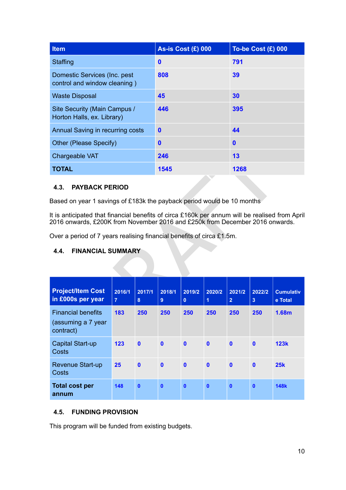| <b>Item</b>                                                  | As-is Cost $(E)$ 000 | To-be Cost (£) 000 |
|--------------------------------------------------------------|----------------------|--------------------|
| Staffing                                                     | $\boldsymbol{0}$     | 791                |
| Domestic Services (Inc. pest<br>control and window cleaning) | 808                  | 39                 |
| <b>Waste Disposal</b>                                        | 45                   | 30                 |
| Site Security (Main Campus /<br>Horton Halls, ex. Library)   | 446                  | 395                |
| Annual Saving in recurring costs                             | $\mathbf 0$          | 44                 |
| Other (Please Specify)                                       | $\mathbf 0$          | $\boldsymbol{0}$   |
| Chargeable VAT                                               | 246                  | 13                 |
| <b>TOTAL</b>                                                 | 1545                 | 1268               |

# **4.3. PAYBACK PERIOD**

#### **4.4. FINANCIAL SUMMARY**

| Other (Please Specity)                                                                                                                                                         |                          | 0            |                          | 0                      |              |                          |                          |                             |
|--------------------------------------------------------------------------------------------------------------------------------------------------------------------------------|--------------------------|--------------|--------------------------|------------------------|--------------|--------------------------|--------------------------|-----------------------------|
| Chargeable VAT                                                                                                                                                                 |                          | 246          |                          | 13                     |              |                          |                          |                             |
| <b>TOTAL</b>                                                                                                                                                                   |                          |              | 1545                     |                        |              | 1268                     |                          |                             |
| 4.3.<br><b>PAYBACK PERIOD</b>                                                                                                                                                  |                          |              |                          |                        |              |                          |                          |                             |
| Based on year 1 savings of £183k the payback period would be 10 months                                                                                                         |                          |              |                          |                        |              |                          |                          |                             |
| It is anticipated that financial benefits of circa £160k per annum will be realised from April<br>2016 onwards, £200K from November 2016 and £250k from December 2016 onwards. |                          |              |                          |                        |              |                          |                          |                             |
| Over a period of 7 years realising financial benefits of circa £1.5m.                                                                                                          |                          |              |                          |                        |              |                          |                          |                             |
| <b>FINANCIAL SUMMARY</b><br>4.4.                                                                                                                                               |                          |              |                          |                        |              |                          |                          |                             |
|                                                                                                                                                                                |                          |              |                          |                        |              |                          |                          |                             |
|                                                                                                                                                                                |                          |              |                          |                        |              |                          |                          |                             |
| <b>Project/Item Cost</b><br>in £000s per year                                                                                                                                  | 2016/1<br>$\overline{7}$ | 2017/1<br>8  | 2018/1<br>9 <sup>°</sup> | 2019/2<br>$\mathbf{0}$ | 2020/2<br>1  | 2021/2<br>2 <sup>1</sup> | 2022/2<br>3 <sup>2</sup> | <b>Cumulativ</b><br>e Total |
| <b>Financial benefits</b><br>(assuming a 7 year<br>contract)                                                                                                                   | 183                      | 250          | 250                      | 250                    | 250          | 250                      | 250                      | 1.68m                       |
| <b>Capital Start-up</b><br><b>Costs</b>                                                                                                                                        | 123                      | $\mathbf{0}$ | $\mathbf{0}$             | $\mathbf{0}$           | $\mathbf{0}$ | $\mathbf{0}$             | $\mathbf{0}$             | <b>123k</b>                 |
| <b>Revenue Start-up</b><br>Costs                                                                                                                                               | 25                       | $\mathbf{0}$ | $\mathbf{0}$             | $\mathbf{0}$           | $\mathbf{0}$ | $\mathbf{0}$             | $\mathbf{0}$             | 25k                         |

#### **4.5. FUNDING PROVISION**

This program will be funded from existing budgets.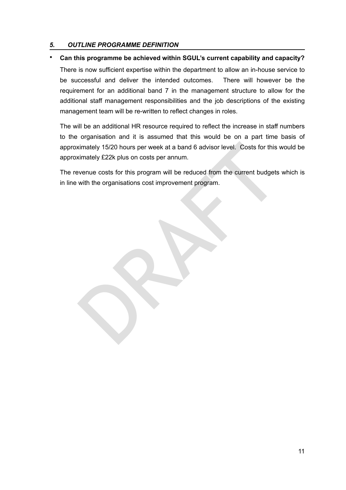#### *5. OUTLINE PROGRAMME DEFINITION*

#### • **Can this programme be achieved within SGUL's current capability and capacity?**

There is now sufficient expertise within the department to allow an in-house service to be successful and deliver the intended outcomes. There will however be the requirement for an additional band 7 in the management structure to allow for the additional staff management responsibilities and the job descriptions of the existing management team will be re-written to reflect changes in roles.

ximately 15/20 hours per week at a band 6 advisor level. Costs for this wire strately £22k plus on costs per annum.<br>We strately £22k plus on costs per annum.<br>We see the comparation of the control of the current budgets<br>wit The will be an additional HR resource required to reflect the increase in staff numbers to the organisation and it is assumed that this would be on a part time basis of approximately 15/20 hours per week at a band 6 advisor level. Costs for this would be approximately £22k plus on costs per annum.

The revenue costs for this program will be reduced from the current budgets which is in line with the organisations cost improvement program.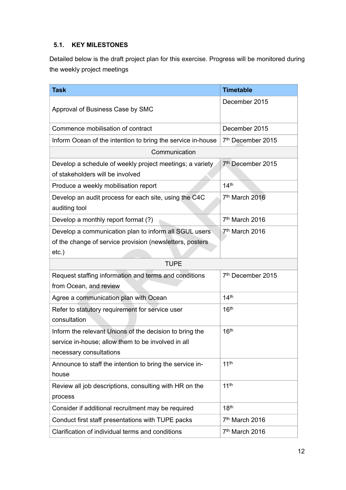# **5.1. KEY MILESTONES**

Detailed below is the draft project plan for this exercise. Progress will be monitored during the weekly project meetings

| <b>Task</b>                                                                                                                              | <b>Timetable</b>              |
|------------------------------------------------------------------------------------------------------------------------------------------|-------------------------------|
| Approval of Business Case by SMC                                                                                                         | December 2015                 |
| Commence mobilisation of contract                                                                                                        | December 2015                 |
| Inform Ocean of the intention to bring the service in-house                                                                              | 7th December 2015             |
| Communication                                                                                                                            |                               |
| Develop a schedule of weekly project meetings; a variety<br>of stakeholders will be involved                                             | 7 <sup>th</sup> December 2015 |
| Produce a weekly mobilisation report                                                                                                     | 14 <sup>th</sup>              |
| Develop an audit process for each site, using the C4C<br>auditing tool                                                                   | 7th March 2016                |
| Develop a monthly report format (?)                                                                                                      | 7 <sup>th</sup> March 2016    |
| Develop a communication plan to inform all SGUL users<br>of the change of service provision (newsletters, posters<br>etc.)               | 7 <sup>th</sup> March 2016    |
| <b>TUPE</b>                                                                                                                              |                               |
| Request staffing information and terms and conditions<br>from Ocean, and review                                                          | 7 <sup>th</sup> December 2015 |
| Agree a communication plan with Ocean                                                                                                    | 14 <sup>th</sup>              |
| Refer to statutory requirement for service user<br>consultation                                                                          | 16 <sup>th</sup>              |
| Inform the relevant Unions of the decision to bring the<br>service in-house; allow them to be involved in all<br>necessary consultations | 16 <sup>th</sup>              |
| Announce to staff the intention to bring the service in-<br>house                                                                        | 11 <sup>th</sup>              |
| Review all job descriptions, consulting with HR on the<br>process                                                                        | 11 <sup>th</sup>              |
| Consider if additional recruitment may be required                                                                                       | 18 <sup>th</sup>              |
| Conduct first staff presentations with TUPE packs                                                                                        | 7 <sup>th</sup> March 2016    |
| Clarification of individual terms and conditions                                                                                         | 7 <sup>th</sup> March 2016    |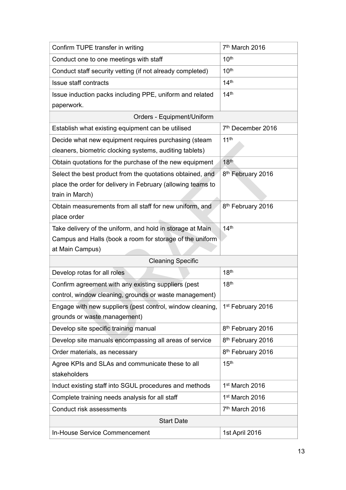| Confirm TUPE transfer in writing                                                                                                            | 7th March 2016                |  |  |
|---------------------------------------------------------------------------------------------------------------------------------------------|-------------------------------|--|--|
| Conduct one to one meetings with staff                                                                                                      | 10 <sup>th</sup>              |  |  |
| Conduct staff security vetting (if not already completed)                                                                                   | 10 <sup>th</sup>              |  |  |
| Issue staff contracts                                                                                                                       | 14 <sup>th</sup>              |  |  |
| Issue induction packs including PPE, uniform and related<br>paperwork.                                                                      | 14 <sup>th</sup>              |  |  |
| Orders - Equipment/Uniform                                                                                                                  |                               |  |  |
| Establish what existing equipment can be utilised                                                                                           | 7 <sup>th</sup> December 2016 |  |  |
| Decide what new equipment requires purchasing (steam                                                                                        | 11 <sup>th</sup>              |  |  |
| cleaners, biometric clocking systems, auditing tablets)                                                                                     |                               |  |  |
| Obtain quotations for the purchase of the new equipment                                                                                     | 18 <sup>th</sup>              |  |  |
| Select the best product from the quotations obtained, and<br>place the order for delivery in February (allowing teams to<br>train in March) | 8 <sup>th</sup> February 2016 |  |  |
| Obtain measurements from all staff for new uniform, and<br>place order                                                                      | 8 <sup>th</sup> February 2016 |  |  |
| Take delivery of the uniform, and hold in storage at Main<br>Campus and Halls (book a room for storage of the uniform<br>at Main Campus)    | 14 <sup>th</sup>              |  |  |
| <b>Cleaning Specific</b>                                                                                                                    |                               |  |  |
| Develop rotas for all roles                                                                                                                 | 18 <sup>th</sup>              |  |  |
| Confirm agreement with any existing suppliers (pest<br>control, window cleaning, grounds or waste management)                               | 18 <sup>th</sup>              |  |  |
| Engage with new suppliers (pest control, window cleaning,<br>grounds or waste management)                                                   | 1st February 2016             |  |  |
| Develop site specific training manual                                                                                                       | 8 <sup>th</sup> February 2016 |  |  |
| Develop site manuals encompassing all areas of service                                                                                      | 8 <sup>th</sup> February 2016 |  |  |
| Order materials, as necessary                                                                                                               | 8 <sup>th</sup> February 2016 |  |  |
| Agree KPIs and SLAs and communicate these to all<br>stakeholders                                                                            | 15 <sup>th</sup>              |  |  |
| Induct existing staff into SGUL procedures and methods                                                                                      | 1 <sup>st</sup> March 2016    |  |  |
| Complete training needs analysis for all staff                                                                                              | 1 <sup>st</sup> March 2016    |  |  |
| Conduct risk assessments                                                                                                                    | 7 <sup>th</sup> March 2016    |  |  |
| <b>Start Date</b>                                                                                                                           |                               |  |  |
| In-House Service Commencement                                                                                                               | 1st April 2016                |  |  |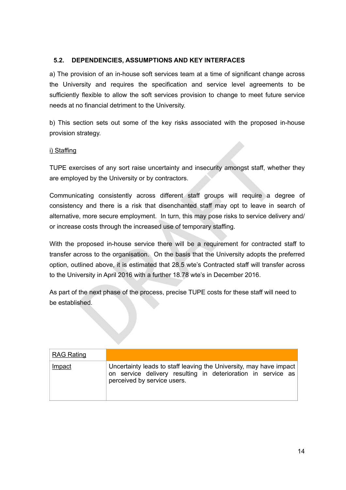# **5.2. DEPENDENCIES, ASSUMPTIONS AND KEY INTERFACES**

a) The provision of an in-house soft services team at a time of significant change across the University and requires the specification and service level agreements to be sufficiently flexible to allow the soft services provision to change to meet future service needs at no financial detriment to the University.

b) This section sets out some of the key risks associated with the proposed in-house provision strategy.

#### i) Staffing

TUPE exercises of any sort raise uncertainty and insecurity amongst staff, whether they are employed by the University or by contractors.

ercises of any sort raise uncertainty and insecurity amongst staff, whet<br>wed by the University or by contractors.<br>Cating consistently across different staff groups will require a decy and there is a risk that disenchanted Communicating consistently across different staff groups will require a degree of consistency and there is a risk that disenchanted staff may opt to leave in search of alternative, more secure employment. In turn, this may pose risks to service delivery and/ or increase costs through the increased use of temporary staffing.

With the proposed in-house service there will be a requirement for contracted staff to transfer across to the organisation. On the basis that the University adopts the preferred option, outlined above, it is estimated that 28.5 wte's Contracted staff will transfer across to the University in April 2016 with a further 18.78 wte's in December 2016.

As part of the next phase of the process, precise TUPE costs for these staff will need to be established.

| <b>RAG Rating</b> |                                                                                                                                                                   |
|-------------------|-------------------------------------------------------------------------------------------------------------------------------------------------------------------|
| Impact            | Uncertainty leads to staff leaving the University, may have impact<br>on service delivery resulting in deterioration in service as<br>perceived by service users. |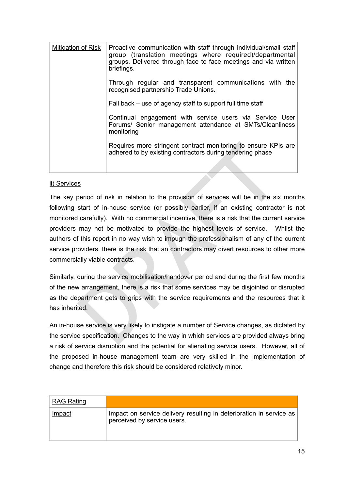| <b>Mitigation of Risk</b> | Proactive communication with staff through individual/small staff<br>group (translation meetings where required)/departmental<br>groups. Delivered through face to face meetings and via written<br>briefings. |
|---------------------------|----------------------------------------------------------------------------------------------------------------------------------------------------------------------------------------------------------------|
|                           | Through regular and transparent communications with the<br>recognised partnership Trade Unions.                                                                                                                |
|                           | Fall back – use of agency staff to support full time staff                                                                                                                                                     |
|                           | Continual engagement with service users via Service User<br>Forums/ Senior management attendance at SMTs/Cleanliness<br>monitoring                                                                             |
|                           | Requires more stringent contract monitoring to ensure KPIs are<br>adhered to by existing contractors during tendering phase                                                                                    |
|                           |                                                                                                                                                                                                                |

#### ii) Services

Requires more stringent contract monitoring to ensure KPIs<br>adhered to by existing contractors during tendering phase<br>S<br>S<br>S<br>action of risk in relation to the provision of services will be in the six<br>start of in-house servic The key period of risk in relation to the provision of services will be in the six months following start of in-house service (or possibly earlier, if an existing contractor is not monitored carefully). With no commercial incentive, there is a risk that the current service providers may not be motivated to provide the highest levels of service. Whilst the authors of this report in no way wish to impugn the professionalism of any of the current service providers, there is the risk that an contractors may divert resources to other more commercially viable contracts.

Similarly, during the service mobilisation/handover period and during the first few months of the new arrangement, there is a risk that some services may be disjointed or disrupted as the department gets to grips with the service requirements and the resources that it has inherited.

An in-house service is very likely to instigate a number of Service changes, as dictated by the service specification. Changes to the way in which services are provided always bring a risk of service disruption and the potential for alienating service users. However, all of the proposed in-house management team are very skilled in the implementation of change and therefore this risk should be considered relatively minor.

| <b>RAG Rating</b> |                                                                                                    |
|-------------------|----------------------------------------------------------------------------------------------------|
| Impact            | Impact on service delivery resulting in deterioration in service as<br>perceived by service users. |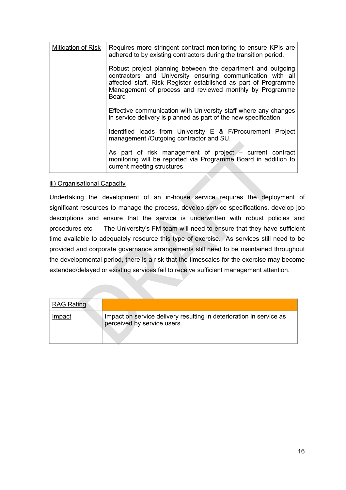| <b>Mitigation of Risk</b> | Requires more stringent contract monitoring to ensure KPIs are<br>adhered to by existing contractors during the transition period.                                                                                                                                     |
|---------------------------|------------------------------------------------------------------------------------------------------------------------------------------------------------------------------------------------------------------------------------------------------------------------|
|                           | Robust project planning between the department and outgoing<br>contractors and University ensuring communication with all<br>affected staff. Risk Register established as part of Programme<br>Management of process and reviewed monthly by Programme<br><b>Board</b> |
|                           | Effective communication with University staff where any changes<br>in service delivery is planned as part of the new specification.                                                                                                                                    |
|                           | Identified leads from University E & F/Procurement Project<br>management /Outgoing contractor and SU.                                                                                                                                                                  |
|                           | As part of risk management of project - current contract<br>monitoring will be reported via Programme Board in addition to<br>current meeting structures                                                                                                               |

#### iii) Organisational Capacity

As part of risk management of project – current comonitoring will be reported via Programme Board in additional Capacity<br>current meeting structures<br>sational Capacity<br>may the development of an in-house service requires the Undertaking the development of an in-house service requires the deployment of significant resources to manage the process, develop service specifications, develop job descriptions and ensure that the service is underwritten with robust policies and procedures etc. The University's FM team will need to ensure that they have sufficient time available to adequately resource this type of exercise. As services still need to be provided and corporate governance arrangements still need to be maintained throughout the developmental period, there is a risk that the timescales for the exercise may become extended/delayed or existing services fail to receive sufficient management attention.

| <b>RAG Rating</b> |                                                                                                    |
|-------------------|----------------------------------------------------------------------------------------------------|
| Impact            | Impact on service delivery resulting in deterioration in service as<br>perceived by service users. |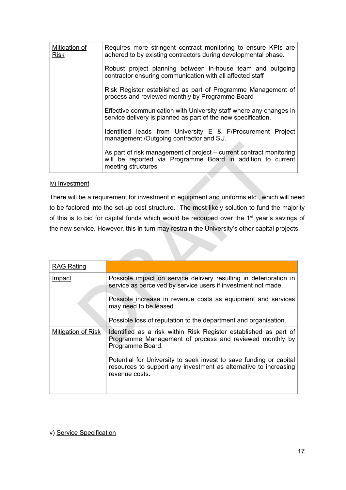| Mitigation of<br><b>Risk</b> | Requires more stringent contract monitoring to ensure KPIs are<br>adhered to by existing contractors during developmental phase.                         |
|------------------------------|----------------------------------------------------------------------------------------------------------------------------------------------------------|
|                              | Robust project planning between in-house team and outgoing<br>contractor ensuring communication with all affected staff                                  |
|                              | Risk Register established as part of Programme Management of<br>process and reviewed monthly by Programme Board                                          |
|                              | Effective communication with University staff where any changes in<br>service delivery is planned as part of the new specification.                      |
|                              | Identified leads from University E & F/Procurement Project<br>management /Outgoing contractor and SU.                                                    |
|                              | As part of risk management of project – current contract monitoring<br>will be reported via Programme Board in addition to current<br>meeting structures |

#### iv) Investment

|                           | As part of risk management of project - current contract monitoring<br>will be reported via Programme Board in addition to current<br>meeting structures |
|---------------------------|----------------------------------------------------------------------------------------------------------------------------------------------------------|
| iv) Investment            |                                                                                                                                                          |
|                           | There will be a requirement for investment in equipment and uniforms etc., which will nee                                                                |
|                           | to be factored into the set-up cost structure. The most likely solution to fund the majori                                                               |
|                           | of this is to bid for capital funds which would be recouped over the 1 <sup>st</sup> year's savings                                                      |
|                           | the new service. However, this in turn may restrain the University's other capital projects.                                                             |
|                           |                                                                                                                                                          |
|                           |                                                                                                                                                          |
| <b>RAG Rating</b>         |                                                                                                                                                          |
| Impact                    | Possible impact on service delivery resulting in deterioration in<br>service as perceived by service users if investment not made.                       |
|                           | Possible increase in revenue costs as equipment and services<br>may need to be leased.                                                                   |
|                           | Possible loss of reputation to the department and organisation.                                                                                          |
| <b>Mitigation of Risk</b> | Identified as a risk within Risk Register established as part of<br>Programme Management of process and reviewed monthly by<br>Programme Board.          |
|                           | Potential for University to seek invest to save funding or capital<br>resources to support any investment as alternative to increasing<br>revenue costs. |
|                           |                                                                                                                                                          |

v) Service Specification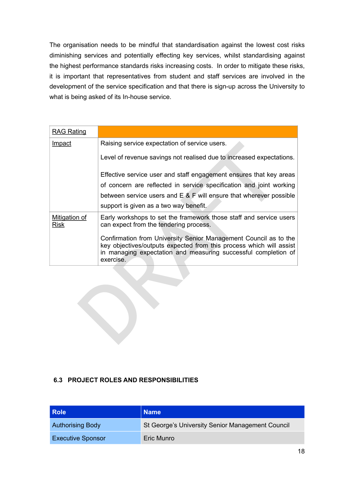The organisation needs to be mindful that standardisation against the lowest cost risks diminishing services and potentially effecting key services, whilst standardising against the highest performance standards risks increasing costs. In order to mitigate these risks, it is important that representatives from student and staff services are involved in the development of the service specification and that there is sign-up across the University to what is being asked of its In-house service.

| Raising service expectation of service users.                                                                                                                                                                          |
|------------------------------------------------------------------------------------------------------------------------------------------------------------------------------------------------------------------------|
| Level of revenue savings not realised due to increased expectations.                                                                                                                                                   |
| Effective service user and staff engagement ensures that key areas                                                                                                                                                     |
| of concern are reflected in service specification and joint working                                                                                                                                                    |
| between service users and $E \& F$ will ensure that wherever possible                                                                                                                                                  |
| support is given as a two way benefit.                                                                                                                                                                                 |
| Early workshops to set the framework those staff and service users<br>can expect from the tendering process.                                                                                                           |
| Confirmation from University Senior Management Council as to the<br>key objectives/outputs expected from this process which will assist<br>in managing expectation and measuring successful completion of<br>exercisé. |
|                                                                                                                                                                                                                        |
|                                                                                                                                                                                                                        |

# **6.3 PROJECT ROLES AND RESPONSIBILITIES**

| <b>Role</b>              | <b>Name</b>                                      |
|--------------------------|--------------------------------------------------|
| <b>Authorising Body</b>  | St George's University Senior Management Council |
| <b>Executive Sponsor</b> | Eric Munro                                       |